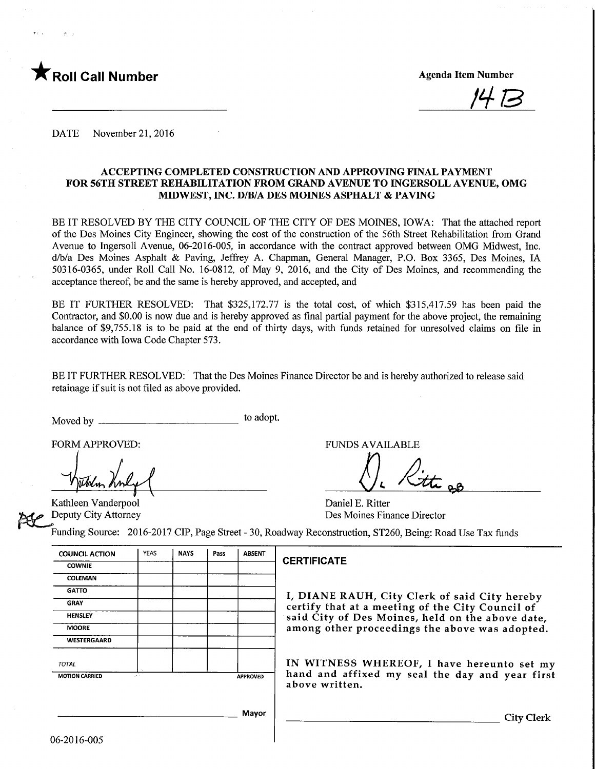

/H-B

DATE November 21, 2016

#### ACCEPTING COMPLETED CONSTRUCTION AND APPROVING FINAL PAYMENT FOR 56TH STREET REHABILITATION FROM GRAND AVENUE TO INGERSOLL AVENUE, OMG MIDWEST, INC. D/B/A DES MOmES ASPHALT & PAVING

BE IT RESOLVED BY THE CITY COUNCIL OF THE CITY OF DES MOINES, IOWA: That the attached report of the Des Moines City Engineer, showing the cost of the constmction of the 56th Street Rehabilitation from Grand Avenue to Ingersoll Avenue, 06-2016-005, in accordance with the contract approved between OMG Midwest, Inc. d/b/a Des Moines Asphalt & Paving, Jeffrey A. Chapman, General Manager, P.O. Box 3365, Des Moines, LA 50316-0365, under Roll Call No. 16-0812, of May 9, 2016, and the City of Des Moines, and recommending the acceptance thereof, be and the same is hereby approved, and accepted, and

BE IT FURTHER RESOLVED: That \$325,172.77 is the total cost, of which \$315,417.59 has been paid the Contractor, and \$0.00 is now due and is hereby approved as final partial payment for the above project, the remaining balance of \$9,755.18 is to be paid at the end of thirty days, with funds retained for unresolved claims on file in accordance with Iowa Code Chapter 573.

BE IT FURTHER RESOLVED: That the Des Moines Finance Director be and is hereby authorized to release said retainage if suit is not filed as above provided.

Moved by to adopt.

Kathleen Vanderpool Deputy City Attorney

FORM APPROVED: THE RESERVE OF THE RESERVE TO A FUNDS AVAILABLE

Daniel E. Ritter Des Moines Finance Director

Funding Source: 2016-2017 CIP, Page Street - 30, Roadway Reconstruction, ST260, Being: Road Use Tax funds

| <b>COWNIE</b>               | <b>NAYS</b> | Pass | <b>ABSENT</b>   |
|-----------------------------|-------------|------|-----------------|
|                             |             |      |                 |
| COLEMAN                     |             |      |                 |
| <b>GATTO</b>                |             |      |                 |
| <b>GRAY</b>                 |             |      |                 |
| <b>HENSLEY</b>              |             |      |                 |
| <b>MOORE</b>                |             |      |                 |
| <b>WESTERGAARD</b>          |             |      |                 |
| <b>TOTAL</b>                |             |      |                 |
| т.<br><b>MOTION CARRIED</b> |             |      | <b>APPROVED</b> |

#### **CERTIFICATE**

I, DIANE RAUH, City Clerk of said City hereby certify that at a meeting of the City Council of said City of Des Moines, held on the above date, among other proceedings the above was adopted.

IN WITNESS WHEREOF, I have hereunto set my hand and affixed my seal the day and year first above written.

**City Clerk**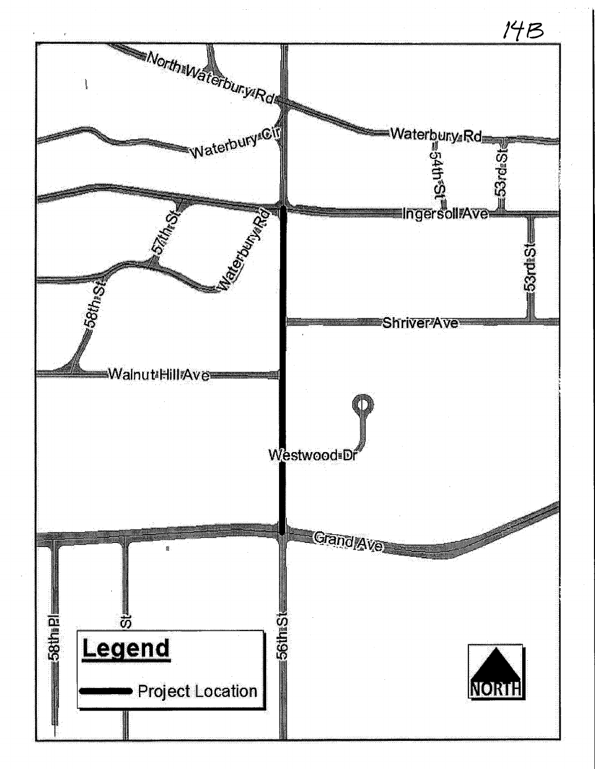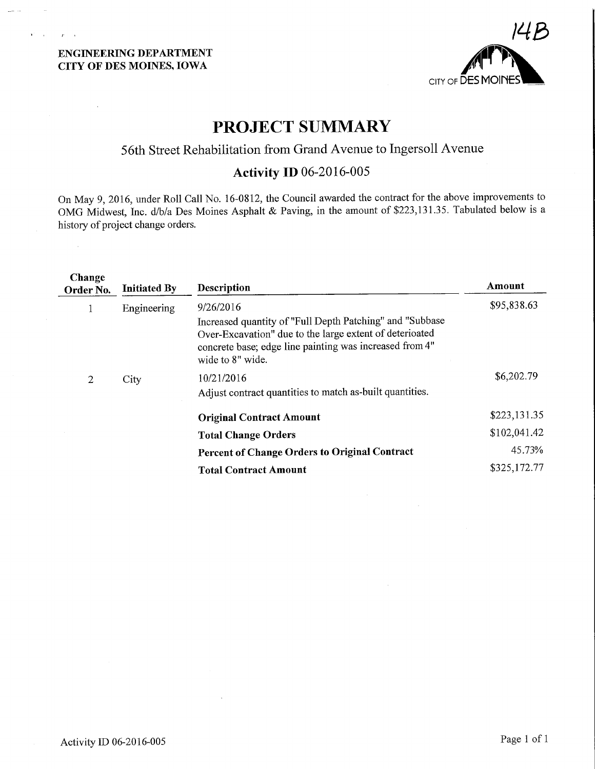### ENGINEERING DEPARTMENT CITY OF DES MOINES, IOWA

 $\mathbf{Y}^{\text{in}}$  and  $\mathbf{Y}$ 

 $\mathcal{X}=\mathcal{X}$ 

 $\bar{z}$ 



# PROJECT SUMMARY

## 56th Street Rehabilitation from Grand Avenue to Ingersoll Avenue

## Activity ID 06-2016-005

On May 9, 2016, under Roll Call No. 16-0812, the Council awarded the contract for the above improvements to OMG Midwest, Inc. d/b/a. Des Moines Asphalt & Paving, in the amount of \$223,131.35. Tabulated below is a history of project change orders.

| Change<br>Order No. | <b>Initiated By</b> | Description                                                                                                                                                                                                     | Amount       |
|---------------------|---------------------|-----------------------------------------------------------------------------------------------------------------------------------------------------------------------------------------------------------------|--------------|
| $\mathbf{1}$        | Engineering         | 9/26/2016<br>Increased quantity of "Full Depth Patching" and "Subbase<br>Over-Excavation" due to the large extent of deterioated<br>concrete base; edge line painting was increased from 4"<br>wide to 8" wide. | \$95,838.63  |
| 2                   | City                | 10/21/2016<br>Adjust contract quantities to match as-built quantities.                                                                                                                                          | \$6,202.79   |
|                     |                     | <b>Original Contract Amount</b>                                                                                                                                                                                 | \$223,131.35 |
|                     |                     | <b>Total Change Orders</b>                                                                                                                                                                                      | \$102,041.42 |
|                     |                     | <b>Percent of Change Orders to Original Contract</b>                                                                                                                                                            | 45.73%       |
|                     |                     | <b>Total Contract Amount</b>                                                                                                                                                                                    | \$325,172.77 |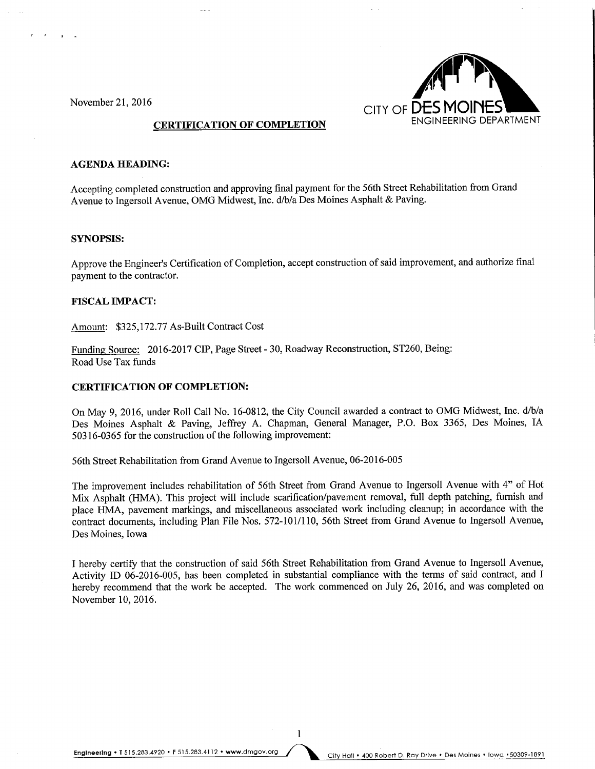November 21, 2016



#### AGENDA HEADING:

Accepting completed construction and approving final payment for the 56th Street Rehabilitation from Grand Avenue to Ingersoll Avenue, OMG Midwest, Inc. d/b/a Des Moines Asphalt & Paving.

#### SYNOPSIS:

Approve the Engineer's Certification of Completion, accept construction of said improvement, and authorize final payment to the contractor.

#### FISCAL IMPACT:

Amount: \$325,172.77 As-Built Contract Cost

Funding Source: 2016-2017 CIP, Page Street - 30, Roadway Reconstruction, ST260, Being: Road Use Tax funds

#### CERTIFICATION OF COMPLETION:

On May 9, 2016, under Roll Call No. 16-0812, the City Council awarded a contract to OMG Midwest, Inc. d/b/a Des Moines Asphalt & Paving, Jeffrey A. Chapman, General Manager, P.O. Box 3365, Des Moines, IA 50316-0365 for the construction of the following improvement:

56th Street Rehabilitation from Grand Avenue to Ingersoll Avenue, 06-2016-005

The improvement includes rehabilitation of 56th Street from Grand Avenue to Ingersoll Avenue with 4" of Hot Mix Asphalt (HMA). This project will include scarification/pavement removal, full depth patching, furnish and place HMA, pavement markings, and miscellaneous associated work including cleanup; in accordance with the contract documents, including Plan File Nos. 572-101/110, 56th Street from Grand Avenue to Ingersoll Avenue, Des Moines, Iowa

I hereby certify that the construction of said 56th Street Rehabilitation from Grand Avenue to Ingersoll Avenue, Activity ID 06-2016-005, has been completed in substantial compliance with the terms of said contract, and I hereby recommend that the work be accepted. The work commenced on July 26, 2016, and was completed on November 10, 2016.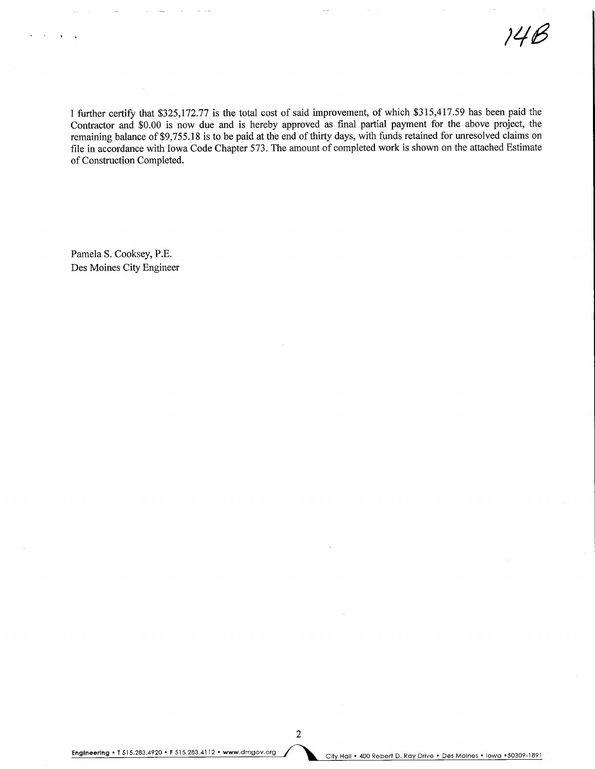14B

I further certify that \$325,172.77 is the total cost of said improvement, of which \$315,417.59 has been paid the Contractor and \$0.00 is now due and is hereby approved as final partial payment for the above project, the remaining balance of \$9,755.18 is to be paid at the end of thirty days, with funds retained for unresolved claims on file in accordance with Iowa Code Chapter 573. The amount of completed work is shown on the attached Estimate of Construction Completed.

Pamela S. Cooksey, P.E. Des Moines City Engineer

Engineering • T 515.283.4920 • F 515.283.4112 • www.dmgov.org<br>City Hall • 400 Robert D. Ray Drive • Des Moines • Iowa • 50309-1891